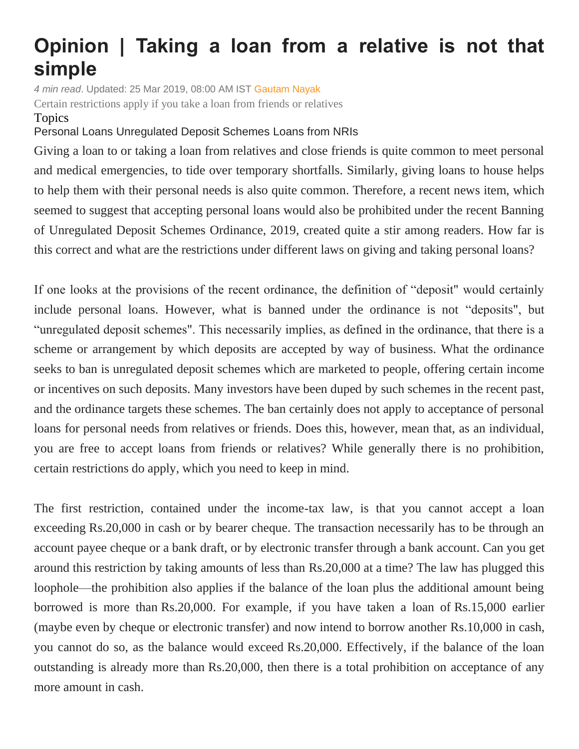## **Opinion | Taking a loan from a relative is not that simple**

*4 min read*. Updated: 25 Mar 2019, 08:00 AM IST [Gautam Nayak](https://www.livemint.com/Search/Link/Author/Gautam%20Nayak) Certain restrictions apply if you take a loan from friends or relatives

## Topics

## [Personal](https://www.livemint.com/topic/personal-loans) Loans [Unregulated Deposit Schemes](https://www.livemint.com/topic/unregulated-deposit-schemes) [Loans from NRIs](https://www.livemint.com/topic/loans-from-nris)

Giving a loan to or taking a loan from relatives and close friends is quite common to meet personal and medical emergencies, to tide over temporary shortfalls. Similarly, giving loans to house helps to help them with their personal needs is also quite common. Therefore, a recent news item, which seemed to suggest that accepting personal loans would also be prohibited under the recent Banning of Unregulated Deposit Schemes Ordinance, 2019, created quite a stir among readers. How far is this correct and what are the restrictions under different laws on giving and taking personal loans?

If one looks at the provisions of the recent ordinance, the definition of "deposit" would certainly include personal loans. However, what is banned under the ordinance is not "deposits", but "unregulated deposit schemes". This necessarily implies, as defined in the ordinance, that there is a scheme or arrangement by which deposits are accepted by way of business. What the ordinance seeks to ban is unregulated deposit schemes which are marketed to people, offering certain income or incentives on such deposits. Many investors have been duped by such schemes in the recent past, and the ordinance targets these schemes. The ban certainly does not apply to acceptance of personal loans for personal needs from relatives or friends. Does this, however, mean that, as an individual, you are free to accept loans from friends or relatives? While generally there is no prohibition, certain restrictions do apply, which you need to keep in mind.

The first restriction, contained under the income-tax law, is that you cannot accept a loan exceeding Rs.20,000 in cash or by bearer cheque. The transaction necessarily has to be through an account payee cheque or a bank draft, or by electronic transfer through a bank account. Can you get around this restriction by taking amounts of less than Rs.20,000 at a time? The law has plugged this loophole—the prohibition also applies if the balance of the loan plus the additional amount being borrowed is more than Rs.20,000. For example, if you have taken a loan of Rs.15,000 earlier (maybe even by cheque or electronic transfer) and now intend to borrow another Rs.10,000 in cash, you cannot do so, as the balance would exceed Rs.20,000. Effectively, if the balance of the loan outstanding is already more than Rs.20,000, then there is a total prohibition on acceptance of any more amount in cash.